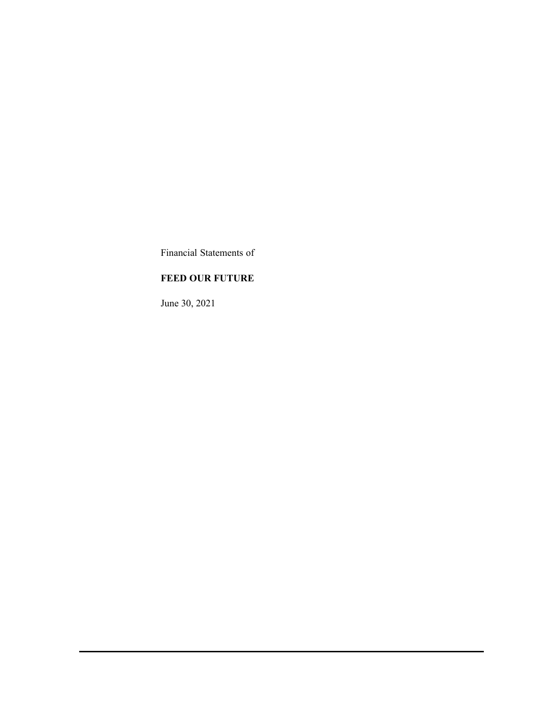Financial Statements of

# **FEED OUR FUTURE**

June 30, 2021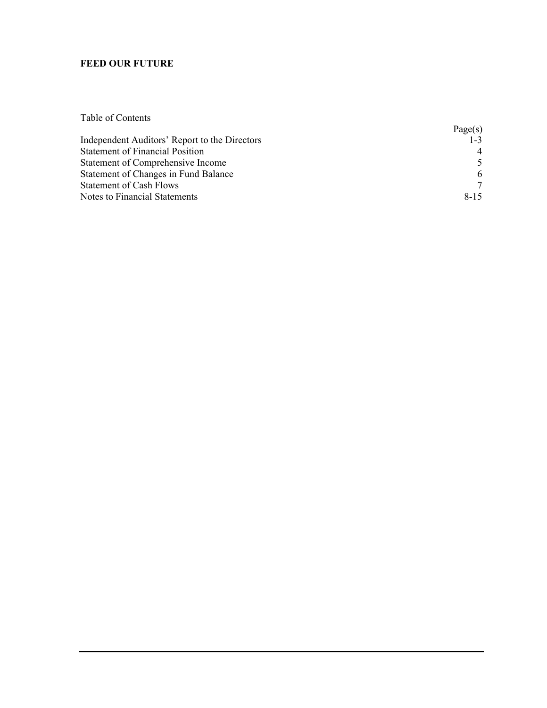Table of Contents

|                                               | Page(s)  |
|-----------------------------------------------|----------|
| Independent Auditors' Report to the Directors | $1 - 3$  |
| <b>Statement of Financial Position</b>        |          |
| Statement of Comprehensive Income             |          |
| Statement of Changes in Fund Balance          | 6        |
| <b>Statement of Cash Flows</b>                |          |
| Notes to Financial Statements                 | $8 - 15$ |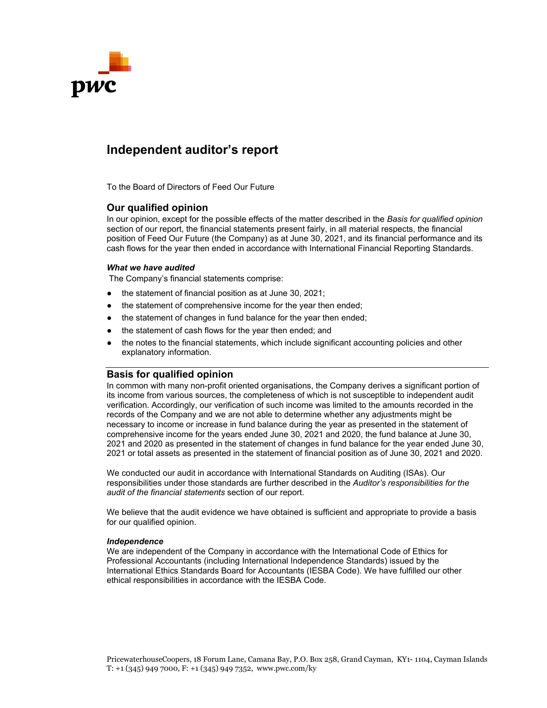

# **Independent auditor's report**

To the Board of Directors of Feed Our Future

#### **Our qualified opinion**

In our opinion, except for the possible effects of the matter described in the *Basis for qualified opinion* section of our report, the financial statements present fairly, in all material respects, the financial position of Feed Our Future (the Company) as at June 30, 2021, and its financial performance and its cash flows for the year then ended in accordance with International Financial Reporting Standards.

#### *What we have audited*

The Company's financial statements comprise:

- the statement of financial position as at June 30, 2021;
- the statement of comprehensive income for the year then ended;
- the statement of changes in fund balance for the year then ended;
- the statement of cash flows for the year then ended; and
- the notes to the financial statements, which include significant accounting policies and other explanatory information.

### **Basis for qualified opinion**

In common with many non-profit oriented organisations, the Company derives a significant portion of its income from various sources, the completeness of which is not susceptible to independent audit verification. Accordingly, our verification of such income was limited to the amounts recorded in the records of the Company and we are not able to determine whether any adjustments might be necessary to income or increase in fund balance during the year as presented in the statement of comprehensive income for the years ended June 30, 2021 and 2020, the fund balance at June 30, 2021 and 2020 as presented in the statement of changes in fund balance for the year ended June 30, 2021 or total assets as presented in the statement of financial position as of June 30, 2021 and 2020.

We conducted our audit in accordance with International Standards on Auditing (ISAs). Our responsibilities under those standards are further described in the *Auditor's responsibilities for the audit of the financial statements* section of our report.

We believe that the audit evidence we have obtained is sufficient and appropriate to provide a basis for our qualified opinion.

#### *Independence*

We are independent of the Company in accordance with the International Code of Ethics for Professional Accountants (including International Independence Standards) issued by the International Ethics Standards Board for Accountants (IESBA Code). We have fulfilled our other ethical responsibilities in accordance with the IESBA Code.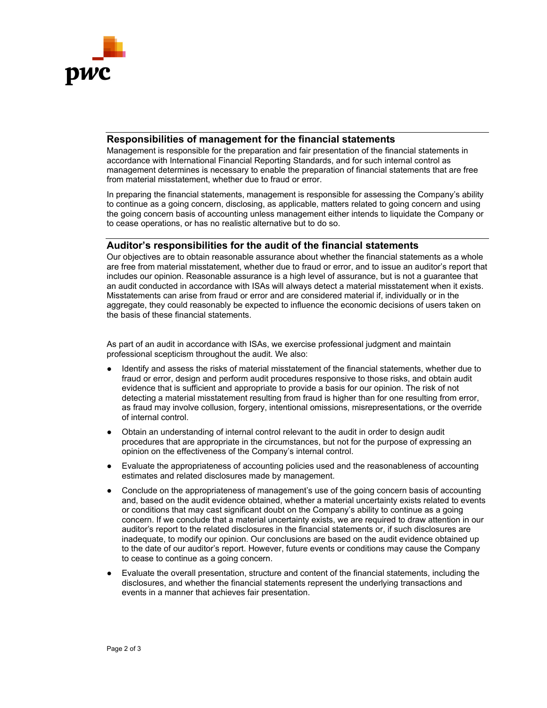

## **Responsibilities of management for the financial statements**

Management is responsible for the preparation and fair presentation of the financial statements in accordance with International Financial Reporting Standards, and for such internal control as management determines is necessary to enable the preparation of financial statements that are free from material misstatement, whether due to fraud or error.

In preparing the financial statements, management is responsible for assessing the Company's ability to continue as a going concern, disclosing, as applicable, matters related to going concern and using the going concern basis of accounting unless management either intends to liquidate the Company or to cease operations, or has no realistic alternative but to do so.

#### **Auditor's responsibilities for the audit of the financial statements**

Our objectives are to obtain reasonable assurance about whether the financial statements as a whole are free from material misstatement, whether due to fraud or error, and to issue an auditor's report that includes our opinion. Reasonable assurance is a high level of assurance, but is not a guarantee that an audit conducted in accordance with ISAs will always detect a material misstatement when it exists. Misstatements can arise from fraud or error and are considered material if, individually or in the aggregate, they could reasonably be expected to influence the economic decisions of users taken on the basis of these financial statements.

As part of an audit in accordance with ISAs, we exercise professional judgment and maintain professional scepticism throughout the audit. We also:

- Identify and assess the risks of material misstatement of the financial statements, whether due to fraud or error, design and perform audit procedures responsive to those risks, and obtain audit evidence that is sufficient and appropriate to provide a basis for our opinion. The risk of not detecting a material misstatement resulting from fraud is higher than for one resulting from error, as fraud may involve collusion, forgery, intentional omissions, misrepresentations, or the override of internal control.
- Obtain an understanding of internal control relevant to the audit in order to design audit procedures that are appropriate in the circumstances, but not for the purpose of expressing an opinion on the effectiveness of the Company's internal control.
- Evaluate the appropriateness of accounting policies used and the reasonableness of accounting estimates and related disclosures made by management.
- Conclude on the appropriateness of management's use of the going concern basis of accounting and, based on the audit evidence obtained, whether a material uncertainty exists related to events or conditions that may cast significant doubt on the Company's ability to continue as a going concern. If we conclude that a material uncertainty exists, we are required to draw attention in our auditor's report to the related disclosures in the financial statements or, if such disclosures are inadequate, to modify our opinion. Our conclusions are based on the audit evidence obtained up to the date of our auditor's report. However, future events or conditions may cause the Company to cease to continue as a going concern.
- Evaluate the overall presentation, structure and content of the financial statements, including the disclosures, and whether the financial statements represent the underlying transactions and events in a manner that achieves fair presentation.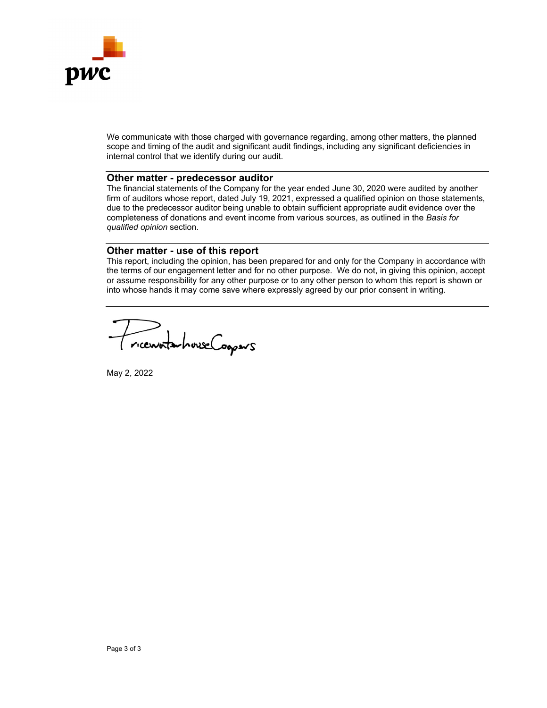

We communicate with those charged with governance regarding, among other matters, the planned scope and timing of the audit and significant audit findings, including any significant deficiencies in internal control that we identify during our audit.

## **Other matter - predecessor auditor**

The financial statements of the Company for the year ended June 30, 2020 were audited by another firm of auditors whose report, dated July 19, 2021, expressed a qualified opinion on those statements, due to the predecessor auditor being unable to obtain sufficient appropriate audit evidence over the completeness of donations and event income from various sources, as outlined in the *Basis for qualified opinion* section.

#### **Other matter - use of this report**

This report, including the opinion, has been prepared for and only for the Company in accordance with the terms of our engagement letter and for no other purpose. We do not, in giving this opinion, accept or assume responsibility for any other purpose or to any other person to whom this report is shown or into whose hands it may come save where expressly agreed by our prior consent in writing.

riceworkshouse Coopers

May 2, 2022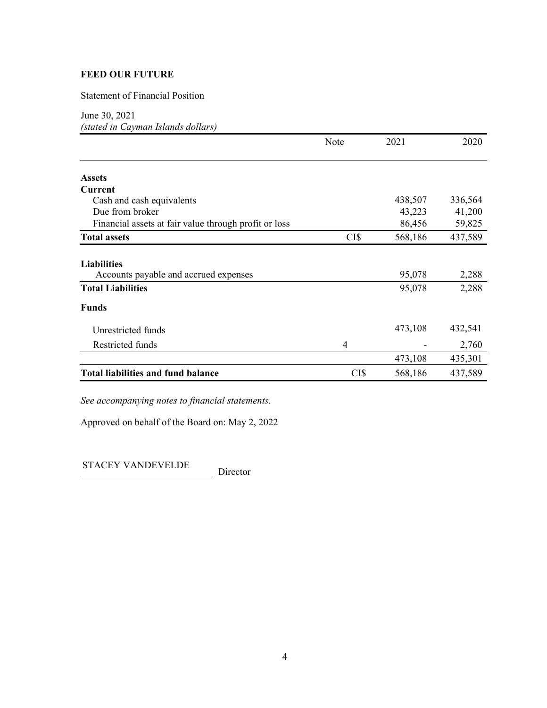Statement of Financial Position

June 30, 2021

*(stated in Cayman Islands dollars)* 

|                                                       | Note | 2021    | 2020    |
|-------------------------------------------------------|------|---------|---------|
| <b>Assets</b>                                         |      |         |         |
| Current                                               |      |         |         |
| Cash and cash equivalents                             |      | 438,507 | 336,564 |
| Due from broker                                       |      | 43,223  | 41,200  |
| Financial assets at fair value through profit or loss |      | 86,456  | 59,825  |
| <b>Total assets</b>                                   | CI\$ | 568,186 | 437,589 |
| <b>Liabilities</b>                                    |      |         |         |
| Accounts payable and accrued expenses                 |      | 95,078  | 2,288   |
| <b>Total Liabilities</b>                              |      | 95,078  | 2,288   |
| <b>Funds</b>                                          |      |         |         |
| Unrestricted funds                                    |      | 473,108 | 432,541 |
| Restricted funds                                      | 4    |         | 2,760   |
|                                                       |      | 473,108 | 435,301 |
| <b>Total liabilities and fund balance</b>             | CI\$ | 568,186 | 437,589 |

*See accompanying notes to financial statements.* 

Approved on behalf of the Board on: May 2, 2022

STACEY VANDEVELDE Director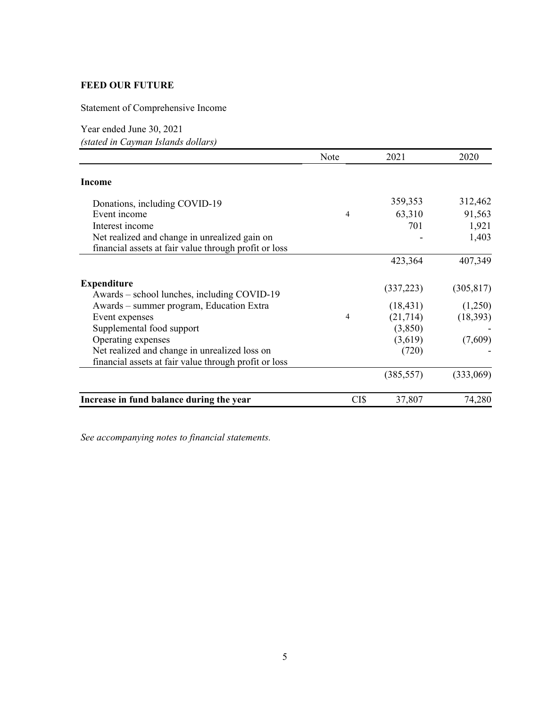Statement of Comprehensive Income

Year ended June 30, 2021 *(stated in Cayman Islands dollars)* 

|                                                                                         | Note | 2021       | 2020       |
|-----------------------------------------------------------------------------------------|------|------------|------------|
| <b>Income</b>                                                                           |      |            |            |
| Donations, including COVID-19                                                           |      | 359,353    | 312,462    |
| Event income                                                                            | 4    | 63,310     | 91,563     |
| Interest income                                                                         |      | 701        | 1,921      |
| Net realized and change in unrealized gain on                                           |      |            | 1,403      |
| financial assets at fair value through profit or loss                                   |      |            |            |
|                                                                                         |      | 423,364    | 407,349    |
| <b>Expenditure</b>                                                                      |      | (337, 223) | (305, 817) |
| Awards - school lunches, including COVID-19<br>Awards – summer program, Education Extra |      | (18, 431)  | (1,250)    |
| Event expenses                                                                          | 4    | (21,714)   | (18, 393)  |
| Supplemental food support                                                               |      | (3,850)    |            |
| Operating expenses                                                                      |      | (3,619)    | (7,609)    |
| Net realized and change in unrealized loss on                                           |      | (720)      |            |
| financial assets at fair value through profit or loss                                   |      |            |            |
|                                                                                         |      | (385, 557) | (333,069)  |
| Increase in fund balance during the year                                                | CI\$ | 37,807     | 74,280     |

*See accompanying notes to financial statements.*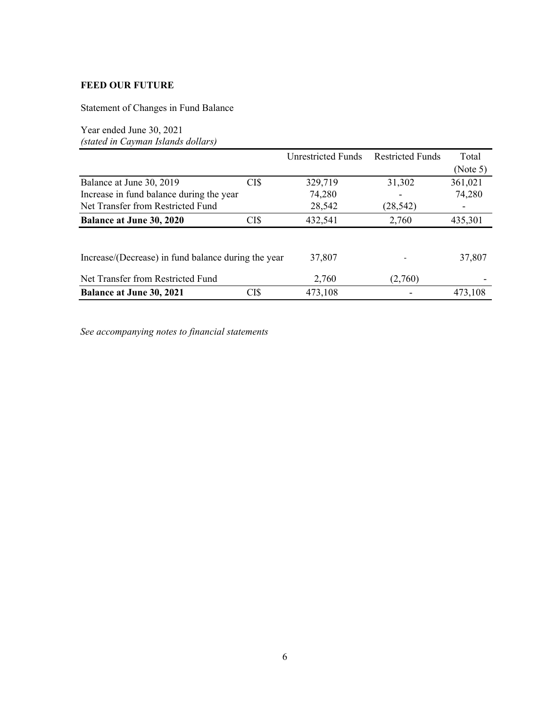Statement of Changes in Fund Balance

Year ended June 30, 2021 *(stated in Cayman Islands dollars)* 

|                                                     |      | Unrestricted Funds | <b>Restricted Funds</b> | Total    |
|-----------------------------------------------------|------|--------------------|-------------------------|----------|
|                                                     |      |                    |                         | (Note 5) |
| Balance at June 30, 2019                            | CI\$ | 329,719            | 31,302                  | 361,021  |
| Increase in fund balance during the year            |      | 74,280             |                         | 74,280   |
| Net Transfer from Restricted Fund                   |      | 28,542             | (28, 542)               |          |
| <b>Balance at June 30, 2020</b>                     | CI\$ | 432,541            | 2,760                   | 435,301  |
|                                                     |      |                    |                         |          |
| Increase/(Decrease) in fund balance during the year |      | 37,807             |                         | 37,807   |
| Net Transfer from Restricted Fund                   |      | 2,760              | (2,760)                 |          |
| <b>Balance at June 30, 2021</b>                     | CI\$ | 473,108            |                         | 473.108  |

*See accompanying notes to financial statements*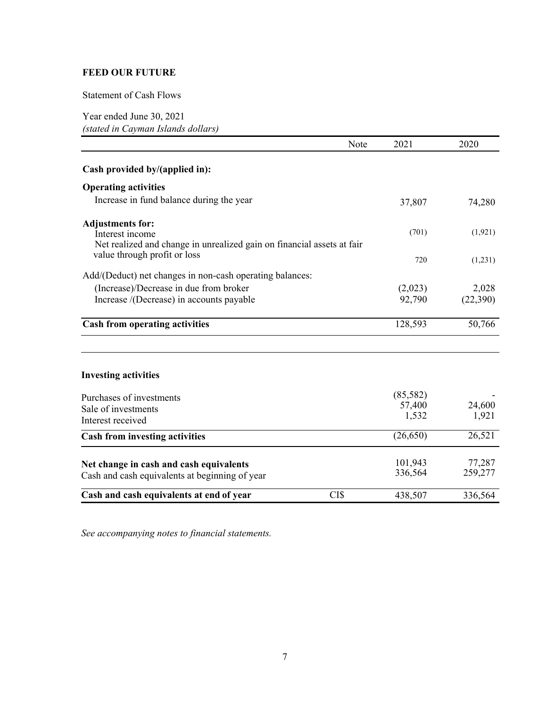## Statement of Cash Flows

Year ended June 30, 2021 *(stated in Cayman Islands dollars)* 

|                                                                                                                      | Note | 2021               | 2020              |
|----------------------------------------------------------------------------------------------------------------------|------|--------------------|-------------------|
| Cash provided by/(applied in):                                                                                       |      |                    |                   |
| <b>Operating activities</b>                                                                                          |      |                    |                   |
| Increase in fund balance during the year                                                                             |      | 37,807             | 74,280            |
| <b>Adjustments for:</b><br>Interest income<br>Net realized and change in unrealized gain on financial assets at fair |      | (701)              | (1,921)           |
| value through profit or loss                                                                                         |      | 720                | (1,231)           |
| Add/(Deduct) net changes in non-cash operating balances:                                                             |      |                    |                   |
| (Increase)/Decrease in due from broker                                                                               |      | (2,023)            | 2,028             |
| Increase /(Decrease) in accounts payable                                                                             |      | 92,790             | (22,390)          |
| <b>Cash from operating activities</b>                                                                                |      | 128,593            | 50,766            |
| <b>Investing activities</b>                                                                                          |      |                    |                   |
| Purchases of investments                                                                                             |      | (85,582)           |                   |
| Sale of investments                                                                                                  |      | 57,400             | 24,600            |
| Interest received                                                                                                    |      | 1,532              | 1,921             |
| <b>Cash from investing activities</b>                                                                                |      | (26, 650)          | 26,521            |
| Net change in cash and cash equivalents<br>Cash and cash equivalents at beginning of year                            |      | 101,943<br>336,564 | 77,287<br>259,277 |
| Cash and cash equivalents at end of year                                                                             | CI\$ | 438,507            | 336,564           |

*See accompanying notes to financial statements.*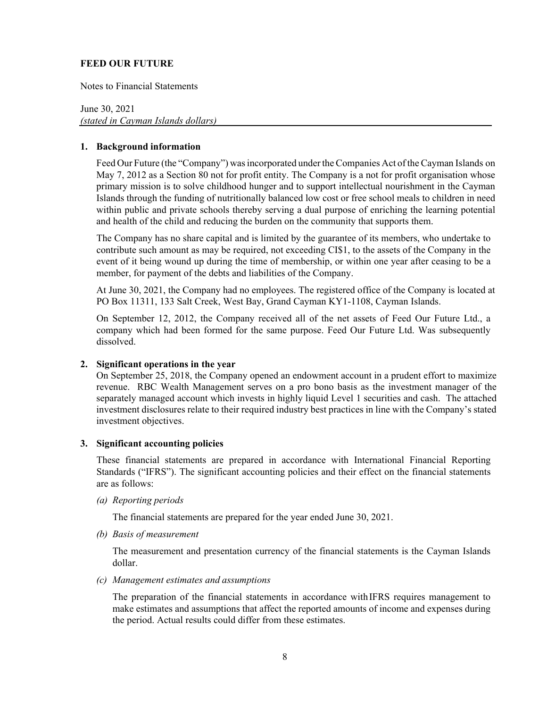Notes to Financial Statements

June 30, 2021 *(stated in Cayman Islands dollars)* 

#### **1. Background information**

Feed Our Future (the "Company") was incorporated under the Companies Act of the Cayman Islands on May 7, 2012 as a Section 80 not for profit entity. The Company is a not for profit organisation whose primary mission is to solve childhood hunger and to support intellectual nourishment in the Cayman Islands through the funding of nutritionally balanced low cost or free school meals to children in need within public and private schools thereby serving a dual purpose of enriching the learning potential and health of the child and reducing the burden on the community that supports them.

The Company has no share capital and is limited by the guarantee of its members, who undertake to contribute such amount as may be required, not exceeding CI\$1, to the assets of the Company in the event of it being wound up during the time of membership, or within one year after ceasing to be a member, for payment of the debts and liabilities of the Company.

At June 30, 2021, the Company had no employees. The registered office of the Company is located at PO Box 11311, 133 Salt Creek, West Bay, Grand Cayman KY1-1108, Cayman Islands.

On September 12, 2012, the Company received all of the net assets of Feed Our Future Ltd., a company which had been formed for the same purpose. Feed Our Future Ltd. Was subsequently dissolved.

### **2. Significant operations in the year**

On September 25, 2018, the Company opened an endowment account in a prudent effort to maximize revenue. RBC Wealth Management serves on a pro bono basis as the investment manager of the separately managed account which invests in highly liquid Level 1 securities and cash. The attached investment disclosures relate to their required industry best practices in line with the Company's stated investment objectives.

#### **3. Significant accounting policies**

These financial statements are prepared in accordance with International Financial Reporting Standards ("IFRS"). The significant accounting policies and their effect on the financial statements are as follows:

#### *(a) Reporting periods*

The financial statements are prepared for the year ended June 30, 2021.

*(b) Basis of measurement* 

The measurement and presentation currency of the financial statements is the Cayman Islands dollar.

#### *(c) Management estimates and assumptions*

The preparation of the financial statements in accordance with IFRS requires management to make estimates and assumptions that affect the reported amounts of income and expenses during the period. Actual results could differ from these estimates.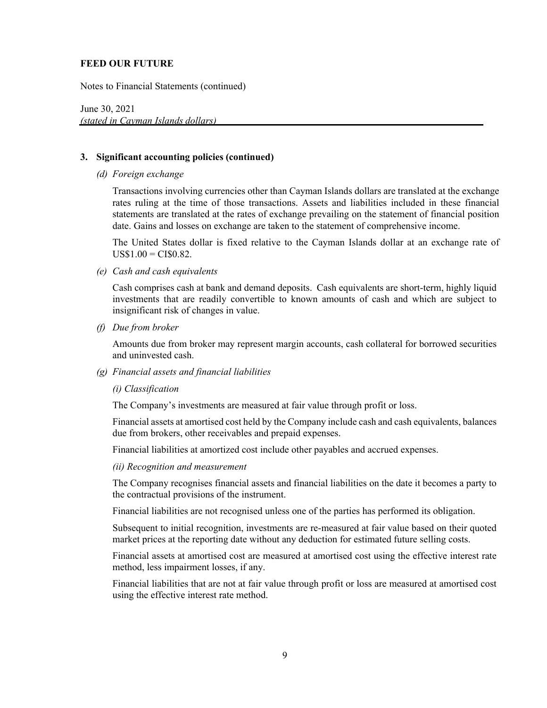Notes to Financial Statements (continued)

June 30, 2021  *(stated in Cayman Islands dollars)* 

### **3. Significant accounting policies (continued)**

*(d) Foreign exchange* 

Transactions involving currencies other than Cayman Islands dollars are translated at the exchange rates ruling at the time of those transactions. Assets and liabilities included in these financial statements are translated at the rates of exchange prevailing on the statement of financial position date. Gains and losses on exchange are taken to the statement of comprehensive income.

The United States dollar is fixed relative to the Cayman Islands dollar at an exchange rate of  $US$1.00 = CI$0.82$ .

*(e) Cash and cash equivalents* 

Cash comprises cash at bank and demand deposits. Cash equivalents are short-term, highly liquid investments that are readily convertible to known amounts of cash and which are subject to insignificant risk of changes in value.

*(f) Due from broker* 

Amounts due from broker may represent margin accounts, cash collateral for borrowed securities and uninvested cash.

*(g) Financial assets and financial liabilities* 

#### *(i) Classification*

The Company's investments are measured at fair value through profit or loss.

Financial assets at amortised cost held by the Company include cash and cash equivalents, balances due from brokers, other receivables and prepaid expenses.

Financial liabilities at amortized cost include other payables and accrued expenses.

#### *(ii) Recognition and measurement*

The Company recognises financial assets and financial liabilities on the date it becomes a party to the contractual provisions of the instrument.

Financial liabilities are not recognised unless one of the parties has performed its obligation.

Subsequent to initial recognition, investments are re-measured at fair value based on their quoted market prices at the reporting date without any deduction for estimated future selling costs.

Financial assets at amortised cost are measured at amortised cost using the effective interest rate method, less impairment losses, if any.

Financial liabilities that are not at fair value through profit or loss are measured at amortised cost using the effective interest rate method.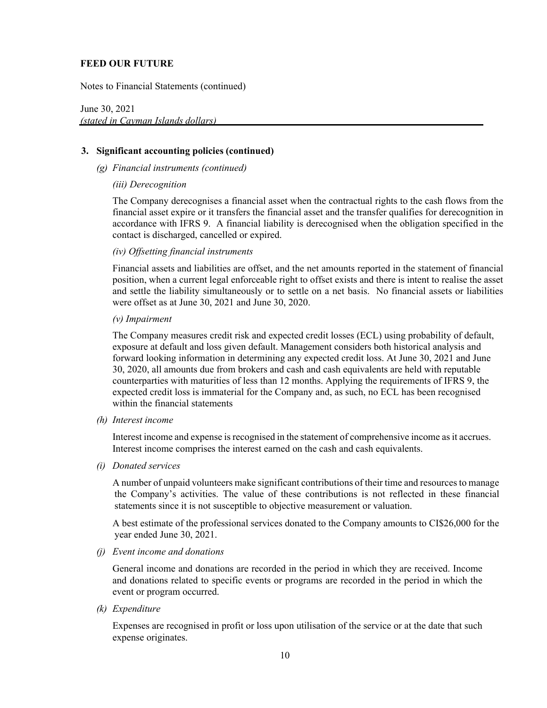Notes to Financial Statements (continued)

June 30, 2021  *(stated in Cayman Islands dollars)* 

#### **3. Significant accounting policies (continued)**

- *(g) Financial instruments (continued)* 
	- *(iii) Derecognition*

The Company derecognises a financial asset when the contractual rights to the cash flows from the financial asset expire or it transfers the financial asset and the transfer qualifies for derecognition in accordance with IFRS 9. A financial liability is derecognised when the obligation specified in the contact is discharged, cancelled or expired.

#### *(iv) Offsetting financial instruments*

Financial assets and liabilities are offset, and the net amounts reported in the statement of financial position, when a current legal enforceable right to offset exists and there is intent to realise the asset and settle the liability simultaneously or to settle on a net basis. No financial assets or liabilities were offset as at June 30, 2021 and June 30, 2020.

#### *(v) Impairment*

 The Company measures credit risk and expected credit losses (ECL) using probability of default, exposure at default and loss given default. Management considers both historical analysis and forward looking information in determining any expected credit loss. At June 30, 2021 and June 30, 2020, all amounts due from brokers and cash and cash equivalents are held with reputable counterparties with maturities of less than 12 months. Applying the requirements of IFRS 9, the expected credit loss is immaterial for the Company and, as such, no ECL has been recognised within the financial statements

*(h) Interest income* 

Interest income and expense is recognised in the statement of comprehensive income as it accrues. Interest income comprises the interest earned on the cash and cash equivalents.

*(i) Donated services* 

A number of unpaid volunteers make significant contributions of their time and resources to manage the Company's activities. The value of these contributions is not reflected in these financial statements since it is not susceptible to objective measurement or valuation.

A best estimate of the professional services donated to the Company amounts to CI\$26,000 for the year ended June 30, 2021.

*(j) Event income and donations* 

General income and donations are recorded in the period in which they are received. Income and donations related to specific events or programs are recorded in the period in which the event or program occurred.

*(k) Expenditure* 

Expenses are recognised in profit or loss upon utilisation of the service or at the date that such expense originates.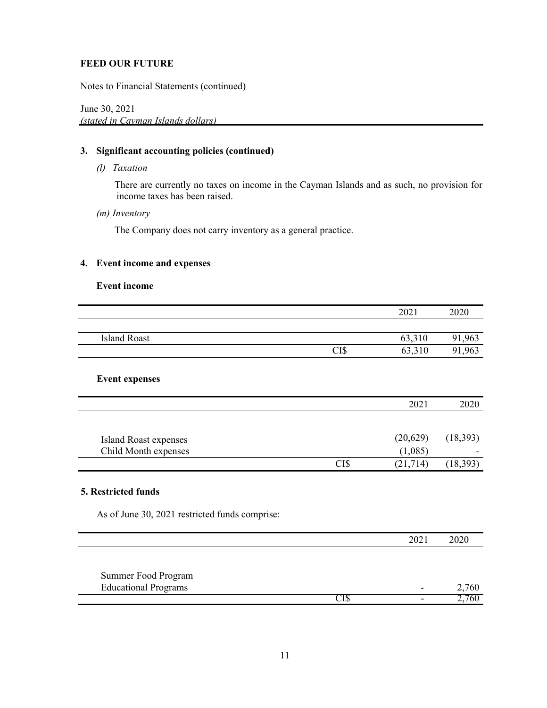Notes to Financial Statements (continued)

June 30, 2021  *(stated in Cayman Islands dollars)* 

### **3. Significant accounting policies (continued)**

*(l) Taxation* 

There are currently no taxes on income in the Cayman Islands and as such, no provision for income taxes has been raised.

*(m) Inventory* 

The Company does not carry inventory as a general practice.

## **4. Event income and expenses**

#### **Event income**

|                                                |      | 2021           | 2020      |
|------------------------------------------------|------|----------------|-----------|
|                                                |      |                |           |
| <b>Island Roast</b>                            |      | 63,310         | 91,963    |
|                                                | CI\$ | 63,310         | 91,963    |
|                                                |      |                |           |
| <b>Event expenses</b>                          |      |                |           |
|                                                |      | 2021           | 2020      |
|                                                |      |                |           |
| <b>Island Roast expenses</b>                   |      | (20,629)       | (18, 393) |
| Child Month expenses                           |      | (1,085)        |           |
|                                                | CI\$ | (21, 714)      | (18, 393) |
|                                                |      |                |           |
| 5. Restricted funds                            |      |                |           |
| As of June 30, 2021 restricted funds comprise: |      |                |           |
|                                                |      | 2021           | 2020      |
|                                                |      |                |           |
| Summer Food Program                            |      |                |           |
| <b>Educational Programs</b>                    |      |                | 2,760     |
|                                                | CI\$ | $\blacksquare$ | 2,760     |

٦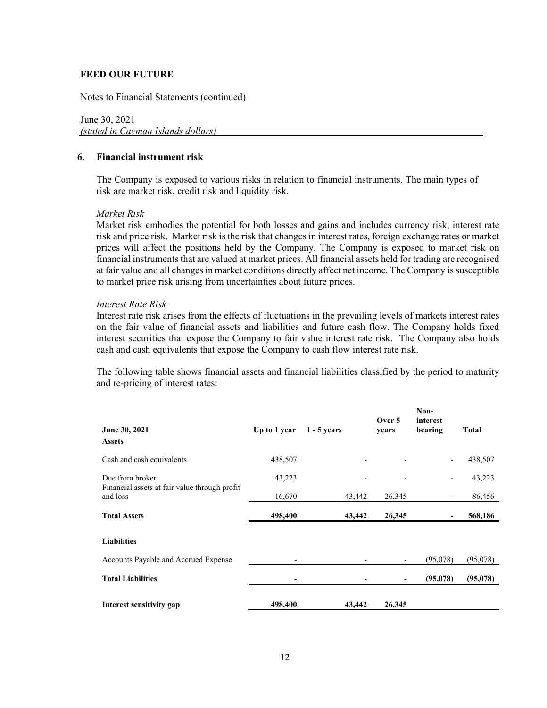Notes to Financial Statements (continued)

June 30, 2021  *(stated in Cayman Islands dollars)* 

#### **6. Financial instrument risk**

The Company is exposed to various risks in relation to financial instruments. The main types of risk are market risk, credit risk and liquidity risk.

#### *Market Risk*

Market risk embodies the potential for both losses and gains and includes currency risk, interest rate risk and price risk. Market risk is the risk that changes in interest rates, foreign exchange rates or market prices will affect the positions held by the Company. The Company is exposed to market risk on financial instruments that are valued at market prices. All financial assets held for trading are recognised at fair value and all changes in market conditions directly affect net income. The Company is susceptible to market price risk arising from uncertainties about future prices.

#### *Interest Rate Risk*

Interest rate risk arises from the effects of fluctuations in the prevailing levels of markets interest rates on the fair value of financial assets and liabilities and future cash flow. The Company holds fixed interest securities that expose the Company to fair value interest rate risk. The Company also holds cash and cash equivalents that expose the Company to cash flow interest rate risk.

The following table shows financial assets and financial liabilities classified by the period to maturity and re-pricing of interest rates:

| June 30, 2021<br><b>Assets</b>                            | Up to 1 year | $1 - 5$ years | Over 5<br>years | Non-<br>interest<br>bearing | <b>Total</b> |
|-----------------------------------------------------------|--------------|---------------|-----------------|-----------------------------|--------------|
| Cash and cash equivalents                                 | 438,507      |               |                 |                             | 438,507      |
| Due from broker                                           | 43,223       |               |                 |                             | 43,223       |
| Financial assets at fair value through profit<br>and loss | 16,670       | 43,442        | 26,345          |                             | 86,456       |
| <b>Total Assets</b>                                       | 498,400      | 43,442        | 26,345          |                             | 568,186      |
| <b>Liabilities</b>                                        |              |               |                 |                             |              |
| Accounts Payable and Accrued Expense                      |              |               |                 | (95,078)                    | (95,078)     |
| <b>Total Liabilities</b>                                  |              |               |                 | (95,078)                    | (95, 078)    |
| Interest sensitivity gap                                  | 498,400      | 43,442        | 26,345          |                             |              |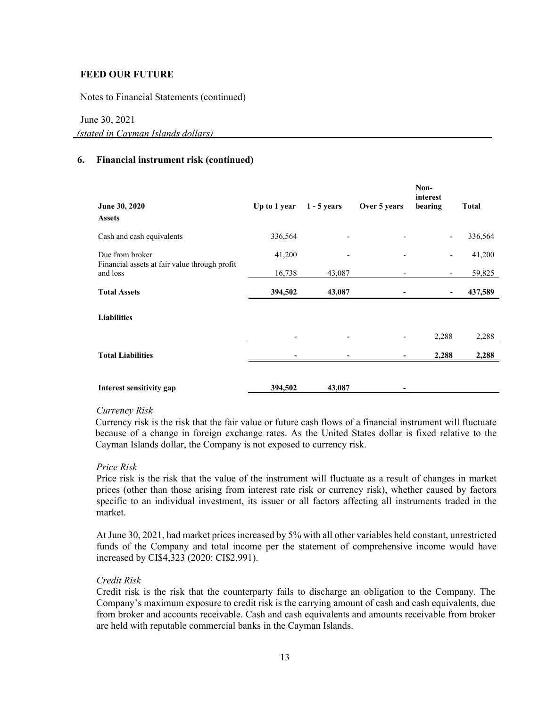Notes to Financial Statements (continued)

#### June 30, 2021

 *(stated in Cayman Islands dollars)* 

## **6. Financial instrument risk (continued)**

| June 30, 2020<br><b>Assets</b>                            | Up to 1 year | $1 - 5$ years | Over 5 years | Non-<br>interest<br>bearing | <b>Total</b> |
|-----------------------------------------------------------|--------------|---------------|--------------|-----------------------------|--------------|
| Cash and cash equivalents                                 | 336,564      |               |              |                             | 336,564      |
| Due from broker                                           | 41,200       |               |              |                             | 41,200       |
| Financial assets at fair value through profit<br>and loss | 16,738       | 43,087        |              | $\overline{\phantom{a}}$    | 59,825       |
| <b>Total Assets</b>                                       | 394,502      | 43,087        |              |                             | 437,589      |
| <b>Liabilities</b>                                        |              |               |              |                             |              |
|                                                           |              |               |              | 2,288                       | 2,288        |
| <b>Total Liabilities</b>                                  |              |               |              | 2,288                       | 2,288        |
| Interest sensitivity gap                                  | 394,502      | 43,087        |              |                             |              |

#### *Currency Risk*

Currency risk is the risk that the fair value or future cash flows of a financial instrument will fluctuate because of a change in foreign exchange rates. As the United States dollar is fixed relative to the Cayman Islands dollar, the Company is not exposed to currency risk.

### *Price Risk*

Price risk is the risk that the value of the instrument will fluctuate as a result of changes in market prices (other than those arising from interest rate risk or currency risk), whether caused by factors specific to an individual investment, its issuer or all factors affecting all instruments traded in the market.

At June 30, 2021, had market prices increased by 5% with all other variables held constant, unrestricted funds of the Company and total income per the statement of comprehensive income would have increased by CI\$4,323 (2020: CI\$2,991).

### *Credit Risk*

Credit risk is the risk that the counterparty fails to discharge an obligation to the Company. The Company's maximum exposure to credit risk is the carrying amount of cash and cash equivalents, due from broker and accounts receivable. Cash and cash equivalents and amounts receivable from broker are held with reputable commercial banks in the Cayman Islands.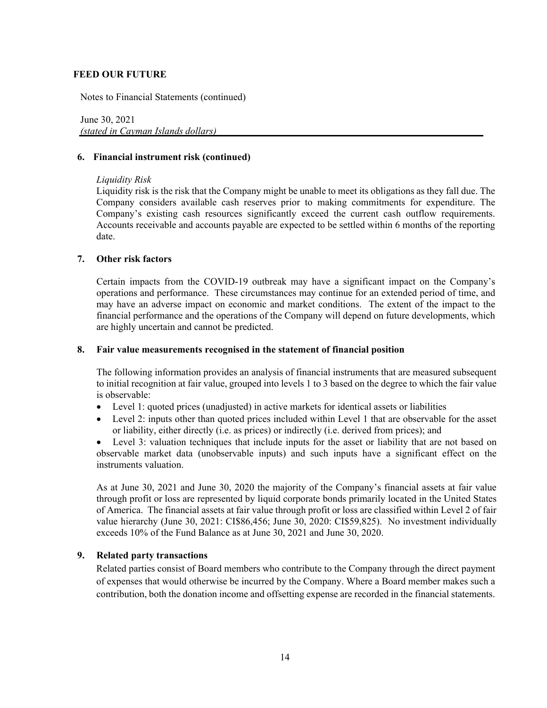Notes to Financial Statements (continued)

June 30, 2021  *(stated in Cayman Islands dollars)* 

#### **6. Financial instrument risk (continued)**

#### *Liquidity Risk*

Liquidity risk is the risk that the Company might be unable to meet its obligations as they fall due. The Company considers available cash reserves prior to making commitments for expenditure. The Company's existing cash resources significantly exceed the current cash outflow requirements. Accounts receivable and accounts payable are expected to be settled within 6 months of the reporting date.

#### **7. Other risk factors**

Certain impacts from the COVID-19 outbreak may have a significant impact on the Company's operations and performance. These circumstances may continue for an extended period of time, and may have an adverse impact on economic and market conditions. The extent of the impact to the financial performance and the operations of the Company will depend on future developments, which are highly uncertain and cannot be predicted.

#### **8. Fair value measurements recognised in the statement of financial position**

The following information provides an analysis of financial instruments that are measured subsequent to initial recognition at fair value, grouped into levels 1 to 3 based on the degree to which the fair value is observable:

- Level 1: quoted prices (unadjusted) in active markets for identical assets or liabilities
- Level 2: inputs other than quoted prices included within Level 1 that are observable for the asset or liability, either directly (i.e. as prices) or indirectly (i.e. derived from prices); and
- Level 3: valuation techniques that include inputs for the asset or liability that are not based on observable market data (unobservable inputs) and such inputs have a significant effect on the instruments valuation.

As at June 30, 2021 and June 30, 2020 the majority of the Company's financial assets at fair value through profit or loss are represented by liquid corporate bonds primarily located in the United States of America. The financial assets at fair value through profit or loss are classified within Level 2 of fair value hierarchy (June 30, 2021: CI\$86,456; June 30, 2020: CI\$59,825). No investment individually exceeds 10% of the Fund Balance as at June 30, 2021 and June 30, 2020.

#### **9. Related party transactions**

Related parties consist of Board members who contribute to the Company through the direct payment of expenses that would otherwise be incurred by the Company. Where a Board member makes such a contribution, both the donation income and offsetting expense are recorded in the financial statements.